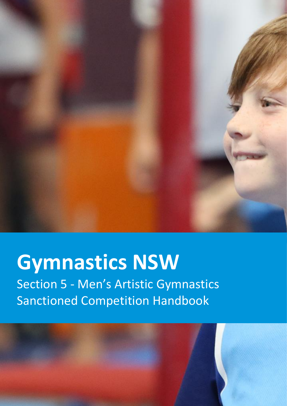

# **Gymnastics NSW**

Section 5 - Men's Artistic Gymnastics Sanctioned Competition Handbook

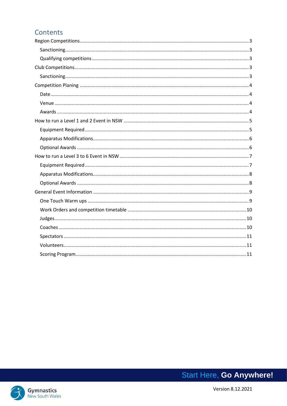## Contents

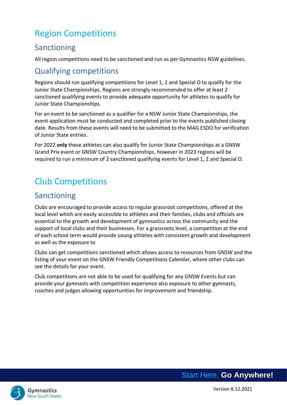# <span id="page-2-0"></span>Region Competitions

# <span id="page-2-1"></span>Sanctioning

All region competitions need to be sanctioned and run as per Gymnastics NSW guidelines.

# <span id="page-2-2"></span>Qualifying competitions

Regions should run qualifying competitions for Level 1, 2 and Special O to qualify for the Junior State Championships. Regions are strongly recommended to offer at least 2 sanctioned qualifying events to provide adequate opportunity for athletes to qualify for Junior State Championships.

For an event to be sanctioned as a qualifier for a NSW Junior State Championships, the event application must be conducted and completed prior to the events published closing date. Results from these events will need to be submitted to the MAG ESDO for verification of Junior State entries.

For 2022 **only** these athletes can also qualify for Junior State Championships at a GNSW Grand Prix event or GNSW Country Championships, however in 2023 regions will be required to run a minimum of 2 sanctioned qualifying events for Level 1, 2 and Special O.

# <span id="page-2-3"></span>Club Competitions

# <span id="page-2-4"></span>Sanctioning

Clubs are encouraged to provide access to regular grassroot competitions, offered at the local level which are easily accessible to athletes and their families, clubs and officials are essential to the growth and development of gymnastics across the community and the support of local clubs and their businesses. For a grassroots level, a competition at the end of each school term would provide young athletes with consistent growth and development as well as the exposure to

Clubs can get competitions sanctioned which allows access to resources from GNSW and the listing of your event on the GNSW Friendly Competitions Calendar, where other clubs can see the details for your event.

Club competitions are not able to be used for qualifying for any GNSW Events but can provide your gymnasts with competition experience also exposure to other gymnasts, coaches and judges allowing opportunities for improvement and friendship.

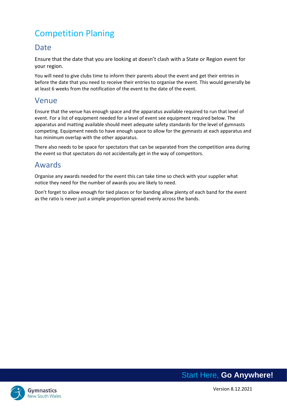# <span id="page-3-0"></span>Competition Planing

## <span id="page-3-1"></span>**Date**

Ensure that the date that you are looking at doesn't clash with a State or Region event for your region.

You will need to give clubs time to inform their parents about the event and get their entries in before the date that you need to receive their entries to organise the event. This would generally be at least 6 weeks from the notification of the event to the date of the event.

## <span id="page-3-2"></span>Venue

Ensure that the venue has enough space and the apparatus available required to run that level of event. For a list of equipment needed for a level of event see equipment required below. The apparatus and matting available should meet adequate safety standards for the level of gymnasts competing. Equipment needs to have enough space to allow for the gymnasts at each apparatus and has minimum overlap with the other apparatus.

There also needs to be space for spectators that can be separated from the competition area during the event so that spectators do not accidentally get in the way of competitors.

## <span id="page-3-3"></span>Awards

Organise any awards needed for the event this can take time so check with your supplier what notice they need for the number of awards you are likely to need.

Don't forget to allow enough for tied places or for banding allow plenty of each band for the event as the ratio is never just a simple proportion spread evenly across the bands.



Version 8.12.2021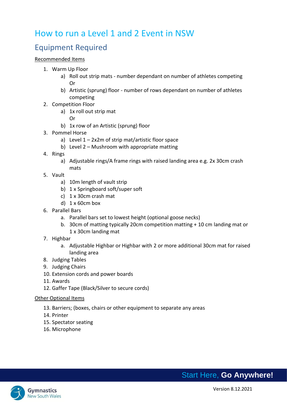# <span id="page-4-0"></span>How to run a Level 1 and 2 Event in NSW

# <span id="page-4-1"></span>Equipment Required

#### Recommended Items

- 1. Warm Up Floor
	- a) Roll out strip mats number dependant on number of athletes competing Or
	- b) Artistic (sprung) floor number of rows dependant on number of athletes competing
- 2. Competition Floor
	- a) 1x roll out strip mat
		- Or
	- b) 1x row of an Artistic (sprung) floor
- 3. Pommel Horse
	- a) Level  $1 2x2m$  of strip mat/artistic floor space
	- b) Level 2 Mushroom with appropriate matting
- 4. Rings
	- a) Adjustable rings/A frame rings with raised landing area e.g. 2x 30cm crash mats
- 5. Vault
	- a) 10m length of vault strip
	- b) 1 x Springboard soft/super soft
	- c) 1 x 30cm crash mat
	- d)  $1 \times 60$ cm box
- 6. Parallel Bars
	- a. Parallel bars set to lowest height (optional goose necks)
	- b. 30cm of matting typically 20cm competition matting + 10 cm landing mat or 1 x 30cm landing mat
- 7. Highbar
	- a. Adjustable Highbar or Highbar with 2 or more additional 30cm mat for raised landing area
- 8. Judging Tables
- 9. Judging Chairs
- 10. Extension cords and power boards
- 11. Awards
- 12. Gaffer Tape (Black/Silver to secure cords)

#### Other Optional Items

- 13. Barriers; (boxes, chairs or other equipment to separate any areas
- 14. Printer
- 15. Spectator seating
- 16. Microphone

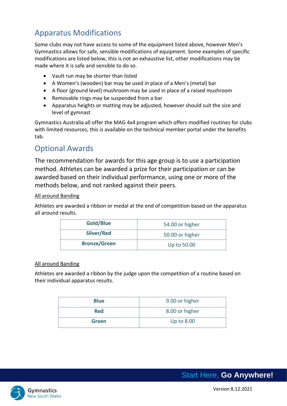# <span id="page-5-0"></span>Apparatus Modifications

Some clubs may not have access to some of the equipment listed above, however Men's Gymnastics allows for safe, sensible modifications of equipment. Some examples of specific modifications are listed below, this is not an exhaustive list, other modifications may be made where it is safe and sensible to do so.

- Vault run may be shorter than listed
- A Women's (wooden) bar may be used in place of a Men's (metal) bar
- A floor (ground level) mushroom may be used in place of a raised mushroom
- Removable rings may be suspended from a bar
- Apparatus heights or matting may be adjusted, however should suit the size and level of gymnast

Gymnastics Australia all offer the MAG 4x4 program which offers modified routines for clubs with limited resources, this is available on the technical member portal under the benefits tab.

# <span id="page-5-1"></span>Optional Awards

The recommendation for awards for this age group is to use a participation method. Athletes can be awarded a prize for their participation or can be awarded based on their individual performance, using one or more of the methods below, and not ranked against their peers.

## All around Banding

Athletes are awarded a ribbon or medal at the end of competition based on the apparatus all around results.

| Gold/Blue           | 54.00 or higher |  |
|---------------------|-----------------|--|
| Silver/Red          | 50.00 or higher |  |
| <b>Bronze/Green</b> | Up to 50.00     |  |

#### All around Banding

Athletes are awarded a ribbon by the judge upon the competition of a routine based on their individual apparatus results.

| <b>Blue</b> | 9.00 or higher |
|-------------|----------------|
| <b>Red</b>  | 8.00 or higher |
| Green       | Up to 8.00     |

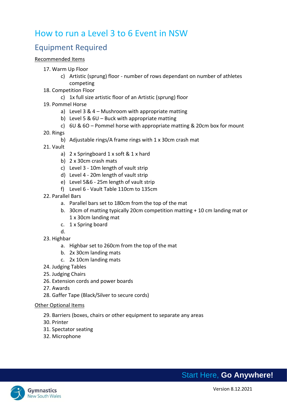# <span id="page-6-0"></span>How to run a Level 3 to 6 Event in NSW

# <span id="page-6-1"></span>Equipment Required

#### Recommended Items

- 17. Warm Up Floor
	- c) Artistic (sprung) floor number of rows dependant on number of athletes competing
- 18. Competition Floor
	- c) 1x full size artistic floor of an Artistic (sprung) floor
- 19. Pommel Horse
	- a) Level 3 & 4 Mushroom with appropriate matting
	- b) Level 5 & 6U Buck with appropriate matting
	- c)  $6U & 6O$  Pommel horse with appropriate matting & 20cm box for mount
- 20. Rings
	- b) Adjustable rings/A frame rings with 1 x 30cm crash mat
- 21. Vault
	- a) 2 x Springboard 1 x soft & 1 x hard
	- b) 2 x 30cm crash mats
	- c) Level 3 10m length of vault strip
	- d) Level 4 20m length of vault strip
	- e) Level 5&6 25m length of vault strip
	- f) Level 6 Vault Table 110cm to 135cm
- 22. Parallel Bars
	- a. Parallel bars set to 180cm from the top of the mat
	- b. 30cm of matting typically 20cm competition matting + 10 cm landing mat or 1 x 30cm landing mat
	- c. 1 x Spring board
	- d.
- 23. Highbar
	- a. Highbar set to 260cm from the top of the mat
	- b. 2x 30cm landing mats
	- c. 2x 10cm landing mats
- 24. Judging Tables
- 25. Judging Chairs
- 26. Extension cords and power boards
- 27. Awards
- 28. Gaffer Tape (Black/Silver to secure cords)

#### Other Optional Items

- 29. Barriers (boxes, chairs or other equipment to separate any areas
- 30. Printer
- 31. Spectator seating
- 32. Microphone

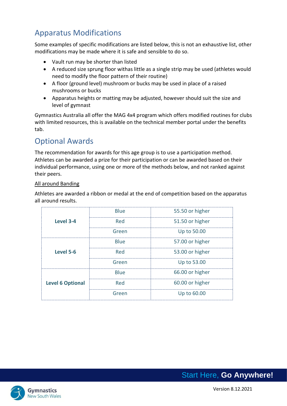# <span id="page-7-0"></span>Apparatus Modifications

Some examples of specific modifications are listed below, this is not an exhaustive list, other modifications may be made where it is safe and sensible to do so.

- Vault run may be shorter than listed
- A reduced size sprung floor withas little as a single strip may be used (athletes would need to modify the floor pattern of their routine)
- A floor (ground level) mushroom or bucks may be used in place of a raised mushrooms or bucks
- Apparatus heights or matting may be adjusted, however should suit the size and level of gymnast

Gymnastics Australia all offer the MAG 4x4 program which offers modified routines for clubs with limited resources, this is available on the technical member portal under the benefits tab.

# <span id="page-7-1"></span>Optional Awards

The recommendation for awards for this age group is to use a participation method. Athletes can be awarded a prize for their participation or can be awarded based on their individual performance, using one or more of the methods below, and not ranked against their peers.

## All around Banding

Athletes are awarded a ribbon or medal at the end of competition based on the apparatus all around results.

|                         | <b>Blue</b> | 55.50 or higher |  |  |
|-------------------------|-------------|-----------------|--|--|
| Level 3-4               | Red         | 51.50 or higher |  |  |
|                         | Green       | Up to 50.00     |  |  |
| Level 5-6               | <b>Blue</b> | 57.00 or higher |  |  |
|                         | Red         | 53.00 or higher |  |  |
|                         | Green       | Up to 53.00     |  |  |
| <b>Level 6 Optional</b> | <b>Blue</b> | 66.00 or higher |  |  |
|                         | Red         | 60.00 or higher |  |  |
|                         | Green       | Up to 60.00     |  |  |



Version 8.12.2021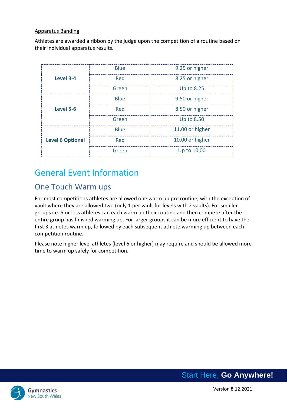#### Apparatus Banding

Athletes are awarded a ribbon by the judge upon the competition of a routine based on their individual apparatus results.

|                         | <b>Blue</b> | 9.25 or higher  |  |
|-------------------------|-------------|-----------------|--|
| Level 3-4               | Red         | 8.25 or higher  |  |
|                         | Green       | Up to 8.25      |  |
| Level 5-6               | <b>Blue</b> | 9.50 or higher  |  |
|                         | Red         | 8.50 or higher  |  |
|                         | Green       | Up to 8.50      |  |
| <b>Level 6 Optional</b> | Blue        | 11.00 or higher |  |
|                         | Red         | 10.00 or higher |  |
|                         | Green       | Up to 10.00     |  |

# <span id="page-8-0"></span>General Event Information

# <span id="page-8-1"></span>One Touch Warm ups

For most competitions athletes are allowed one warm up pre routine, with the exception of vault where they are allowed two (only 1 per vault for levels with 2 vaults). For smaller groups i.e. 5 or less athletes can each warm up their routine and then compete after the entire group has finished warming up. For larger groups it can be more efficient to have the first 3 athletes warm up, followed by each subsequent athlete warming up between each competition routine.

Please note higher level athletes (level 6 or higher) may require and should be allowed more time to warm up safely for competition.

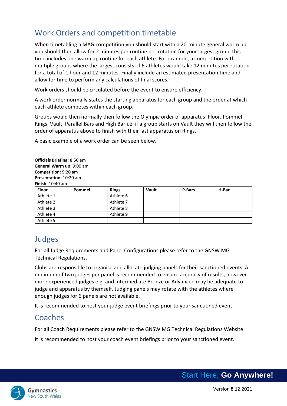# <span id="page-9-0"></span>Work Orders and competition timetable

When timetabling a MAG competition you should start with a 20-minute general warm up, you should then allow for 2 minutes per routine per rotation for your largest group, this time includes one warm up routine for each athlete. For example, a competition with multiple groups where the largest consists of 6 athletes would take 12 minutes per rotation for a total of 1 hour and 12 minutes. Finally include an estimated presentation time and allow for time to perform any calculations of final scores.

Work orders should be circulated before the event to ensure efficiency.

A work order normally states the starting apparatus for each group and the order at which each athlete competes within each group.

Groups would then normally then follow the Olympic order of apparatus; Floor, Pommel, Rings, Vault, Parallel Bars and High Bar i.e. if a group starts on Vault they will then follow the order of apparatus above to finish with their last apparatus on Rings.

A basic example of a work order can be seen below.

**Officials Briefing:** 8:50 am **General Warm up:** 9:00 am **Competition:** 9:20 am **Presentation:** 10:20 am **Finish:** 10:40 am

| <b>Floor</b> | <b>Pommel</b> | <b>Rings</b> | Vault | <b>P-Bars</b> | H-Bar |
|--------------|---------------|--------------|-------|---------------|-------|
| Athlete 1    |               | Athlete 6    |       |               |       |
| Athlete 2    |               | Athlete 7    |       |               |       |
| Athlete 3    |               | Athlete 8    |       |               |       |
| Athlete 4    |               | Athlete 9    |       |               |       |
| Athlete 5    |               |              |       |               |       |

# <span id="page-9-1"></span>Judges

For all Judge Requirements and Panel Configurations please refer to the GNSW MG Technical Regulations.

Clubs are responsible to organise and allocate judging panels for their sanctioned events. A minimum of two judges per panel is recommended to ensure accuracy of results, however more experienced judges e.g. and Intermediate Bronze or Advanced may be adequate to judge and apparatus by themself. Judging panels may rotate with the athletes where enough judges for 6 panels are not available.

It is recommended to host your judge event briefings prior to your sanctioned event.

# <span id="page-9-2"></span>Coaches

For all Coach Requirements please refer to the GNSW MG Technical Regulations Website.

It is recommended to host your coach event briefings prior to your sanctioned event.